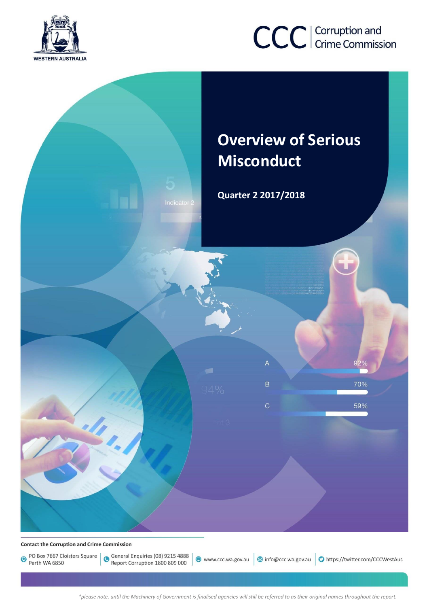

# CCC | Corruption and

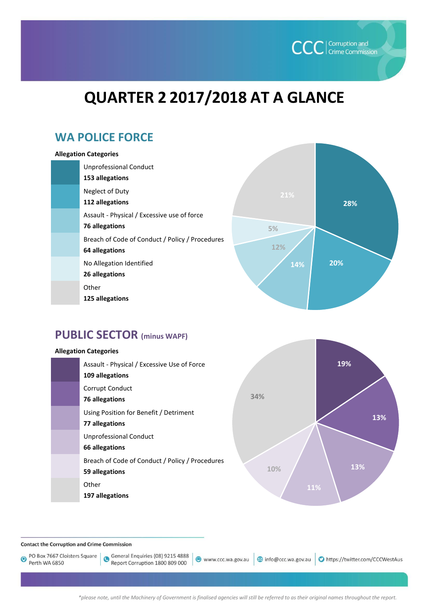

## **QUARTER 2 2017/2018 AT A GLANCE**

## **WA POLICE FORCE**

#### **Allegation Categories**

| Unprofessional Conduct<br>153 allegations                         |
|-------------------------------------------------------------------|
| Neglect of Duty<br>112 allegations                                |
| Assault - Physical / Excessive use of force<br>76 allegations     |
| Breach of Code of Conduct / Policy / Procedures<br>64 allegations |
| No Allegation Identified<br>26 allegations                        |
| Other<br>125 allegations                                          |



## **PUBLIC SECTOR (minus WAPF)**

#### **19% 13% 13% 11% 10% 34% Allegation Categories** Assault - Physical / Excessive Use of Force **109 allegations**  Corrupt Conduct **76 allegations**  Using Position for Benefit / Detriment **77 allegations**  Unprofessional Conduct **66 allegations**  Breach of Code of Conduct / Policy / Procedures **59 allegations** Other **197 allegations**

**Contact the Corruption and Crime Commission** 

PO Box 7667 Cloisters Square  $\bullet$ Perth WA 6850

General Enquiries (08) 9215 4888 Report Corruption 1800 809 000

www.ccc.wa.gov.au

nfo@ccc.wa.gov.au https://twitter.com/CCCWestAus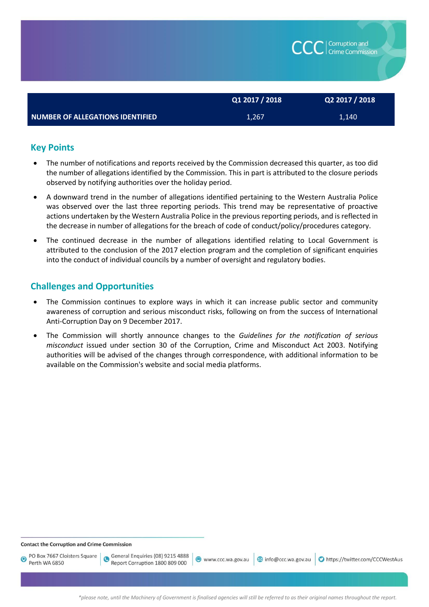|                                  | Q1 2017 / 2018 | Q2 2017 / 2018 |
|----------------------------------|----------------|----------------|
| NUMBER OF ALLEGATIONS IDENTIFIED | 1,267          | 1,140          |

## **Key Points**

- The number of notifications and reports received by the Commission decreased this quarter, as too did the number of allegations identified by the Commission. This in part is attributed to the closure periods observed by notifying authorities over the holiday period.
- A downward trend in the number of allegations identified pertaining to the Western Australia Police was observed over the last three reporting periods. This trend may be representative of proactive actions undertaken by the Western Australia Police in the previous reporting periods, and is reflected in the decrease in number of allegations for the breach of code of conduct/policy/procedures category.
- The continued decrease in the number of allegations identified relating to Local Government is attributed to the conclusion of the 2017 election program and the completion of significant enquiries into the conduct of individual councils by a number of oversight and regulatory bodies.

## **Challenges and Opportunities**

- The Commission continues to explore ways in which it can increase public sector and community awareness of corruption and serious misconduct risks, following on from the success of International Anti-Corruption Day on 9 December 2017.
- The Commission will shortly announce changes to the *Guidelines for the notification of serious misconduct* issued under section 30 of the Corruption, Crime and Misconduct Act 2003. Notifying authorities will be advised of the changes through correspondence, with additional information to be available on the Commission's website and social media platforms.

**Contact the Corruption and Crime Commission** 

PO Box 7667 Cloisters Square  $\bullet$ Perth WA 6850

General Enquiries (08) 9215 4888 Report Corruption 1800 809 000

www.ccc.wa.gov.au

info@ccc.wa.gov.au D https://twitter.com/CCCWestAus

Corruption and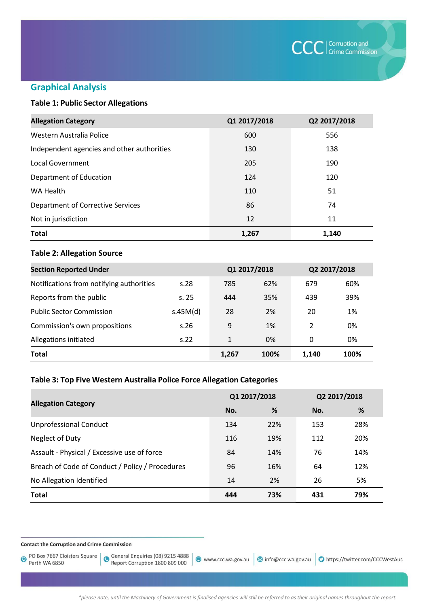

## **Graphical Analysis**

## **Table 1: Public Sector Allegations**

| <b>Allegation Category</b>                 | Q1 2017/2018 | Q2 2017/2018 |
|--------------------------------------------|--------------|--------------|
| Western Australia Police                   | 600          | 556          |
| Independent agencies and other authorities | 130          | 138          |
| Local Government                           | 205          | 190          |
| Department of Education                    | 124          | 120          |
| WA Health                                  | 110          | 51           |
| <b>Department of Corrective Services</b>   | 86           | 74           |
| Not in jurisdiction                        | 12           | 11           |
| <b>Total</b>                               | 1,267        | 1,140        |

#### **Table 2: Allegation Source**

| <b>Section Reported Under</b>            |          | Q1 2017/2018 |      | Q2 2017/2018  |      |
|------------------------------------------|----------|--------------|------|---------------|------|
| Notifications from notifying authorities | s.28     | 785          | 62%  | 679           | 60%  |
| Reports from the public                  | s.25     | 444          | 35%  | 439           | 39%  |
| <b>Public Sector Commission</b>          | s.45M(d) | 28           | 2%   | 20            | 1%   |
| Commission's own propositions            | s.26     | 9            | 1%   | $\mathcal{P}$ | 0%   |
| Allegations initiated                    | S.22     | 1            | 0%   | 0             | 0%   |
| <b>Total</b>                             |          | 1,267        | 100% | 1.140         | 100% |

## **Table 3: Top Five Western Australia Police Force Allegation Categories**

|                                                 | Q1 2017/2018 |     | Q2 2017/2018 |     |
|-------------------------------------------------|--------------|-----|--------------|-----|
| <b>Allegation Category</b>                      | No.          | %   | No.          | %   |
| <b>Unprofessional Conduct</b>                   | 134          | 22% | 153          | 28% |
| Neglect of Duty                                 | 116          | 19% | 112          | 20% |
| Assault - Physical / Excessive use of force     | 84           | 14% | 76           | 14% |
| Breach of Code of Conduct / Policy / Procedures | 96           | 16% | 64           | 12% |
| No Allegation Identified                        | 14           | 2%  | 26           | 5%  |
| <b>Total</b>                                    | 444          | 73% | 431          | 79% |

**Contact the Corruption and Crime Commission** 

PO Box 7667 Cloisters Square  $\bullet$ Perth WA 6850

General Enquiries (08) 9215 4888<br>Report Corruption 1800 809 000

www.ccc.wa.gov.au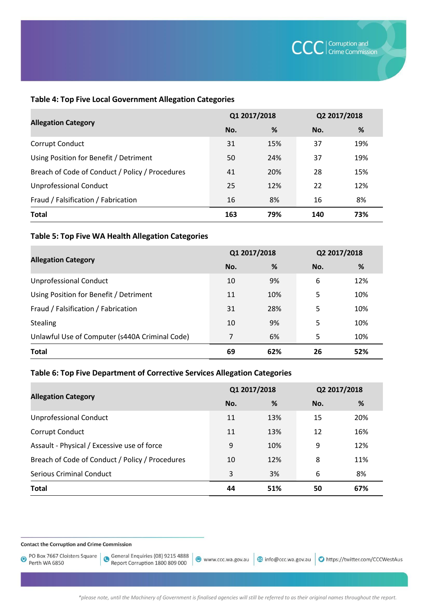#### **Table 4: Top Five Local Government Allegation Categories**

|                                                 | Q1 2017/2018 |     | Q2 2017/2018 |     |
|-------------------------------------------------|--------------|-----|--------------|-----|
| <b>Allegation Category</b>                      | No.          | %   | No.          | %   |
| Corrupt Conduct                                 | 31           | 15% | 37           | 19% |
| Using Position for Benefit / Detriment          | 50           | 24% | 37           | 19% |
| Breach of Code of Conduct / Policy / Procedures | 41           | 20% | 28           | 15% |
| <b>Unprofessional Conduct</b>                   | 25           | 12% | 22           | 12% |
| Fraud / Falsification / Fabrication             | 16           | 8%  | 16           | 8%  |
| <b>Total</b>                                    | 163          | 79% | 140          | 73% |

### **Table 5: Top Five WA Health Allegation Categories**

|                                                | Q1 2017/2018 |     | Q2 2017/2018 |     |
|------------------------------------------------|--------------|-----|--------------|-----|
| <b>Allegation Category</b>                     | No.          | %   | No.          | %   |
| <b>Unprofessional Conduct</b>                  | 10           | 9%  | 6            | 12% |
| Using Position for Benefit / Detriment         | 11           | 10% | 5            | 10% |
| Fraud / Falsification / Fabrication            | 31           | 28% | 5            | 10% |
| Stealing                                       | 10           | 9%  | 5            | 10% |
| Unlawful Use of Computer (s440A Criminal Code) | 7            | 6%  | 5            | 10% |
| <b>Total</b>                                   | 69           | 62% | 26           | 52% |

## **Table 6: Top Five Department of Corrective Services Allegation Categories**

|                                                 | Q1 2017/2018 |     | Q2 2017/2018 |     |
|-------------------------------------------------|--------------|-----|--------------|-----|
| <b>Allegation Category</b>                      | No.          | %   | No.          | %   |
| <b>Unprofessional Conduct</b>                   | 11           | 13% | 15           | 20% |
| Corrupt Conduct                                 | 11           | 13% | 12           | 16% |
| Assault - Physical / Excessive use of force     | 9            | 10% | 9            | 12% |
| Breach of Code of Conduct / Policy / Procedures | 10           | 12% | 8            | 11% |
| <b>Serious Criminal Conduct</b>                 | 3            | 3%  | 6            | 8%  |
| <b>Total</b>                                    | 44           | 51% | 50           | 67% |

**Contact the Corruption and Crime Commission** 

PO Box 7667 Cloisters Square  $\bullet$ Perth WA 6850

General Enquiries (08) 9215 4888<br>Report Corruption 1800 809 000

● www.ccc.wa.gov.au | 3 info@ccc.wa.gov.au | ● https://twitter.com/CCCWestAus